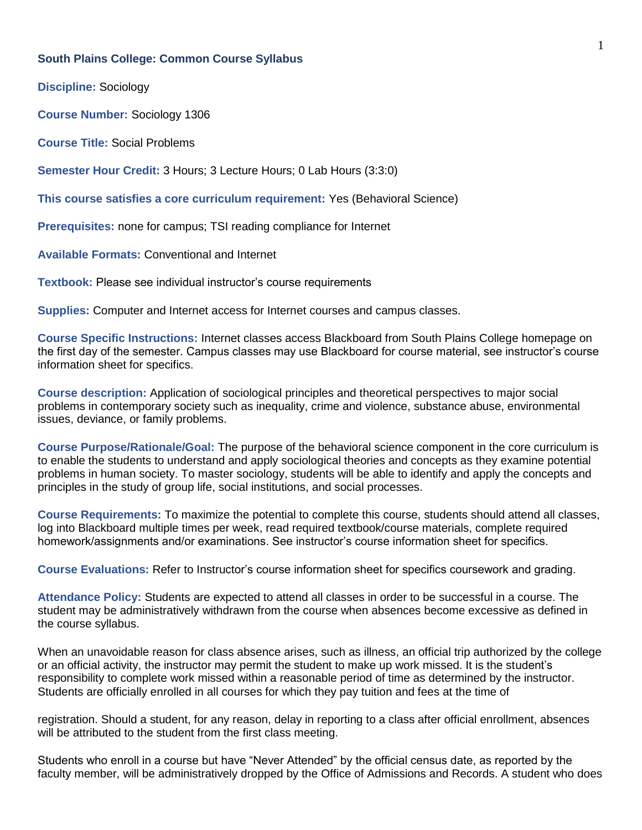#### **South Plains College: Common Course Syllabus**

**Discipline:** Sociology

**Course Number:** Sociology 1306

**Course Title:** Social Problems

**Semester Hour Credit:** 3 Hours; 3 Lecture Hours; 0 Lab Hours (3:3:0)

**This course satisfies a core curriculum requirement:** Yes (Behavioral Science)

**Prerequisites:** none for campus; TSI reading compliance for Internet

**Available Formats:** Conventional and Internet

**Textbook:** Please see individual instructor's course requirements

**Supplies:** Computer and Internet access for Internet courses and campus classes.

**Course Specific Instructions:** Internet classes access Blackboard from South Plains College homepage on the first day of the semester. Campus classes may use Blackboard for course material, see instructor's course information sheet for specifics.

**Course description:** Application of sociological principles and theoretical perspectives to major social problems in contemporary society such as inequality, crime and violence, substance abuse, environmental issues, deviance, or family problems.

**Course Purpose/Rationale/Goal:** The purpose of the behavioral science component in the core curriculum is to enable the students to understand and apply sociological theories and concepts as they examine potential problems in human society. To master sociology, students will be able to identify and apply the concepts and principles in the study of group life, social institutions, and social processes.

**Course Requirements:** To maximize the potential to complete this course, students should attend all classes, log into Blackboard multiple times per week, read required textbook/course materials, complete required homework/assignments and/or examinations. See instructor's course information sheet for specifics.

**Course Evaluations:** Refer to Instructor's course information sheet for specifics coursework and grading.

**Attendance Policy:** Students are expected to attend all classes in order to be successful in a course. The student may be administratively withdrawn from the course when absences become excessive as defined in the course syllabus.

When an unavoidable reason for class absence arises, such as illness, an official trip authorized by the college or an official activity, the instructor may permit the student to make up work missed. It is the student's responsibility to complete work missed within a reasonable period of time as determined by the instructor. Students are officially enrolled in all courses for which they pay tuition and fees at the time of

registration. Should a student, for any reason, delay in reporting to a class after official enrollment, absences will be attributed to the student from the first class meeting.

Students who enroll in a course but have "Never Attended" by the official census date, as reported by the faculty member, will be administratively dropped by the Office of Admissions and Records. A student who does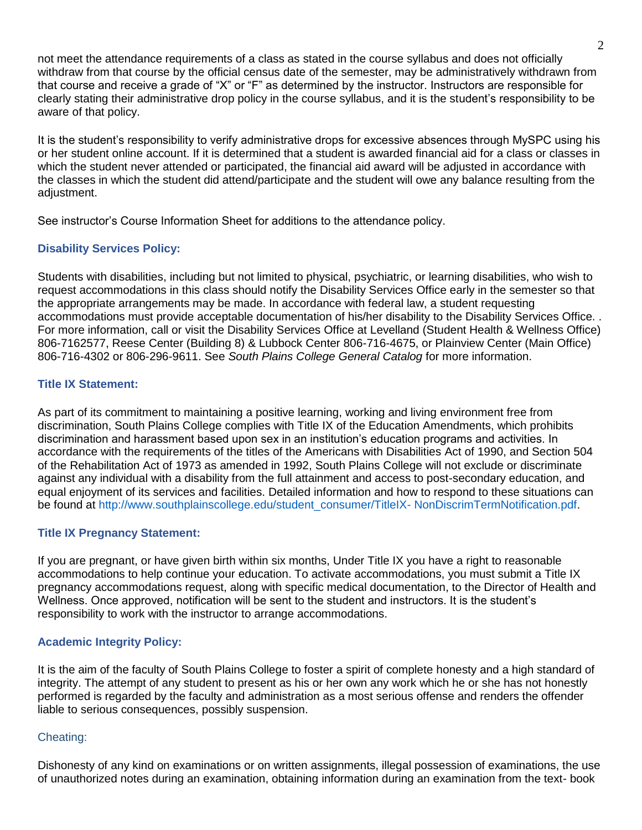not meet the attendance requirements of a class as stated in the course syllabus and does not officially withdraw from that course by the official census date of the semester, may be administratively withdrawn from that course and receive a grade of "X" or "F" as determined by the instructor. Instructors are responsible for clearly stating their administrative drop policy in the course syllabus, and it is the student's responsibility to be aware of that policy.

It is the student's responsibility to verify administrative drops for excessive absences through MySPC using his or her student online account. If it is determined that a student is awarded financial aid for a class or classes in which the student never attended or participated, the financial aid award will be adjusted in accordance with the classes in which the student did attend/participate and the student will owe any balance resulting from the adjustment.

See instructor's Course Information Sheet for additions to the attendance policy.

## **Disability Services Policy:**

Students with disabilities, including but not limited to physical, psychiatric, or learning disabilities, who wish to request accommodations in this class should notify the Disability Services Office early in the semester so that the appropriate arrangements may be made. In accordance with federal law, a student requesting accommodations must provide acceptable documentation of his/her disability to the Disability Services Office. . For more information, call or visit the Disability Services Office at Levelland (Student Health & Wellness Office) 806-7162577, Reese Center (Building 8) & Lubbock Center 806-716-4675, or Plainview Center (Main Office) 806-716-4302 or 806-296-9611. See *South Plains College General Catalog* for more information.

### **Title IX Statement:**

As part of its commitment to maintaining a positive learning, working and living environment free from discrimination, South Plains College complies with Title IX of the Education Amendments, which prohibits discrimination and harassment based upon sex in an institution's education programs and activities. In accordance with the requirements of the titles of the Americans with Disabilities Act of 1990, and Section 504 of the Rehabilitation Act of 1973 as amended in 1992, South Plains College will not exclude or discriminate against any individual with a disability from the full attainment and access to post-secondary education, and equal enjoyment of its services and facilities. Detailed information and how to respond to these situations can be found at http://www.southplainscollege.edu/student\_consumer/TitleIX- NonDiscrimTermNotification.pdf.

### **Title IX Pregnancy Statement:**

If you are pregnant, or have given birth within six months, Under Title IX you have a right to reasonable accommodations to help continue your education. To activate accommodations, you must submit a Title IX pregnancy accommodations request, along with specific medical documentation, to the Director of Health and Wellness. Once approved, notification will be sent to the student and instructors. It is the student's responsibility to work with the instructor to arrange accommodations.

### **Academic Integrity Policy:**

It is the aim of the faculty of South Plains College to foster a spirit of complete honesty and a high standard of integrity. The attempt of any student to present as his or her own any work which he or she has not honestly performed is regarded by the faculty and administration as a most serious offense and renders the offender liable to serious consequences, possibly suspension.

### Cheating:

Dishonesty of any kind on examinations or on written assignments, illegal possession of examinations, the use of unauthorized notes during an examination, obtaining information during an examination from the text- book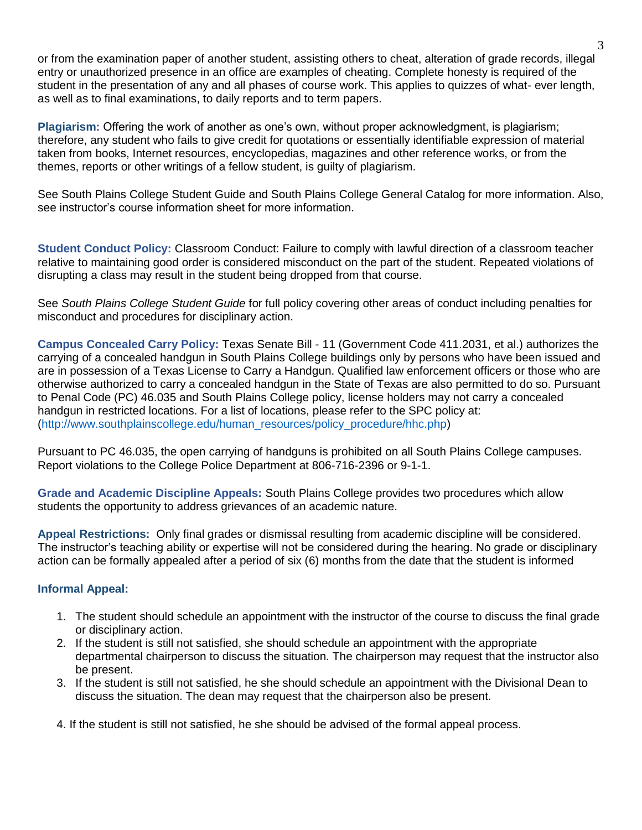or from the examination paper of another student, assisting others to cheat, alteration of grade records, illegal entry or unauthorized presence in an office are examples of cheating. Complete honesty is required of the student in the presentation of any and all phases of course work. This applies to quizzes of what- ever length, as well as to final examinations, to daily reports and to term papers.

**Plagiarism:** Offering the work of another as one's own, without proper acknowledgment, is plagiarism; therefore, any student who fails to give credit for quotations or essentially identifiable expression of material taken from books, Internet resources, encyclopedias, magazines and other reference works, or from the themes, reports or other writings of a fellow student, is guilty of plagiarism.

See South Plains College Student Guide and South Plains College General Catalog for more information. Also, see instructor's course information sheet for more information.

**Student Conduct Policy:** Classroom Conduct: Failure to comply with lawful direction of a classroom teacher relative to maintaining good order is considered misconduct on the part of the student. Repeated violations of disrupting a class may result in the student being dropped from that course.

See *South Plains College Student Guide* for full policy covering other areas of conduct including penalties for misconduct and procedures for disciplinary action.

**Campus Concealed Carry Policy:** Texas Senate Bill - 11 (Government Code 411.2031, et al.) authorizes the carrying of a concealed handgun in South Plains College buildings only by persons who have been issued and are in possession of a Texas License to Carry a Handgun. Qualified law enforcement officers or those who are otherwise authorized to carry a concealed handgun in the State of Texas are also permitted to do so. Pursuant to Penal Code (PC) 46.035 and South Plains College policy, license holders may not carry a concealed handgun in restricted locations. For a list of locations, please refer to the SPC policy at: (http://www.southplainscollege.edu/human\_resources/policy\_procedure/hhc.php)

Pursuant to PC 46.035, the open carrying of handguns is prohibited on all South Plains College campuses. Report violations to the College Police Department at 806-716-2396 or 9-1-1.

**Grade and Academic Discipline Appeals:** South Plains College provides two procedures which allow students the opportunity to address grievances of an academic nature.

**Appeal Restrictions:** Only final grades or dismissal resulting from academic discipline will be considered. The instructor's teaching ability or expertise will not be considered during the hearing. No grade or disciplinary action can be formally appealed after a period of six (6) months from the date that the student is informed

### **Informal Appeal:**

- 1. The student should schedule an appointment with the instructor of the course to discuss the final grade or disciplinary action.
- 2. If the student is still not satisfied, she should schedule an appointment with the appropriate departmental chairperson to discuss the situation. The chairperson may request that the instructor also be present.
- 3. If the student is still not satisfied, he she should schedule an appointment with the Divisional Dean to discuss the situation. The dean may request that the chairperson also be present.

4. If the student is still not satisfied, he she should be advised of the formal appeal process.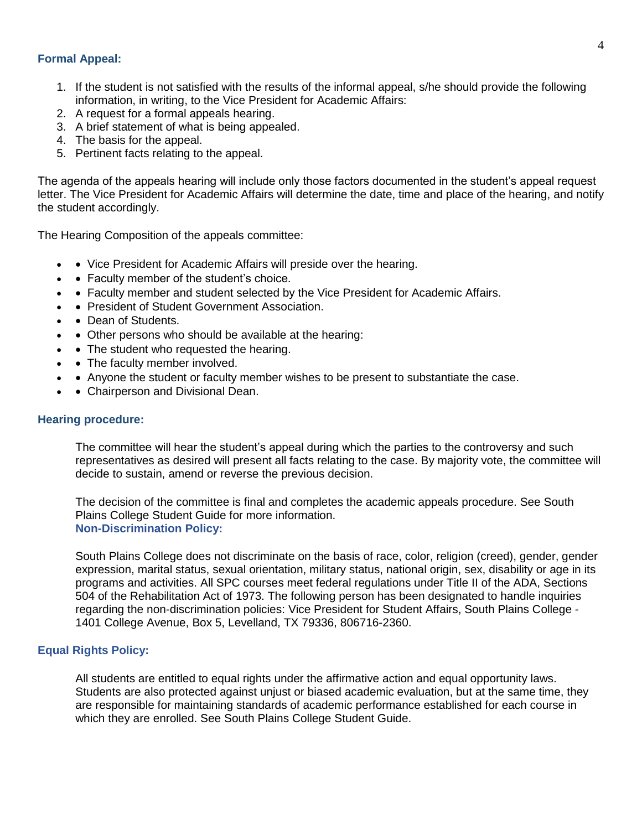#### **Formal Appeal:**

- 1. If the student is not satisfied with the results of the informal appeal, s/he should provide the following information, in writing, to the Vice President for Academic Affairs:
- 2. A request for a formal appeals hearing.
- 3. A brief statement of what is being appealed.
- 4. The basis for the appeal.
- 5. Pertinent facts relating to the appeal.

The agenda of the appeals hearing will include only those factors documented in the student's appeal request letter. The Vice President for Academic Affairs will determine the date, time and place of the hearing, and notify the student accordingly.

The Hearing Composition of the appeals committee:

- Vice President for Academic Affairs will preside over the hearing.
- Faculty member of the student's choice.
- • Faculty member and student selected by the Vice President for Academic Affairs.
- President of Student Government Association.
- Dean of Students.
- Other persons who should be available at the hearing:
- • The student who requested the hearing.
- The faculty member involved.
- • Anyone the student or faculty member wishes to be present to substantiate the case.
- • Chairperson and Divisional Dean.

#### **Hearing procedure:**

The committee will hear the student's appeal during which the parties to the controversy and such representatives as desired will present all facts relating to the case. By majority vote, the committee will decide to sustain, amend or reverse the previous decision.

The decision of the committee is final and completes the academic appeals procedure. See South Plains College Student Guide for more information. **Non-Discrimination Policy:** 

South Plains College does not discriminate on the basis of race, color, religion (creed), gender, gender expression, marital status, sexual orientation, military status, national origin, sex, disability or age in its programs and activities. All SPC courses meet federal regulations under Title II of the ADA, Sections 504 of the Rehabilitation Act of 1973. The following person has been designated to handle inquiries regarding the non-discrimination policies: Vice President for Student Affairs, South Plains College - 1401 College Avenue, Box 5, Levelland, TX 79336, 806716-2360.

#### **Equal Rights Policy:**

All students are entitled to equal rights under the affirmative action and equal opportunity laws. Students are also protected against unjust or biased academic evaluation, but at the same time, they are responsible for maintaining standards of academic performance established for each course in which they are enrolled. See South Plains College Student Guide.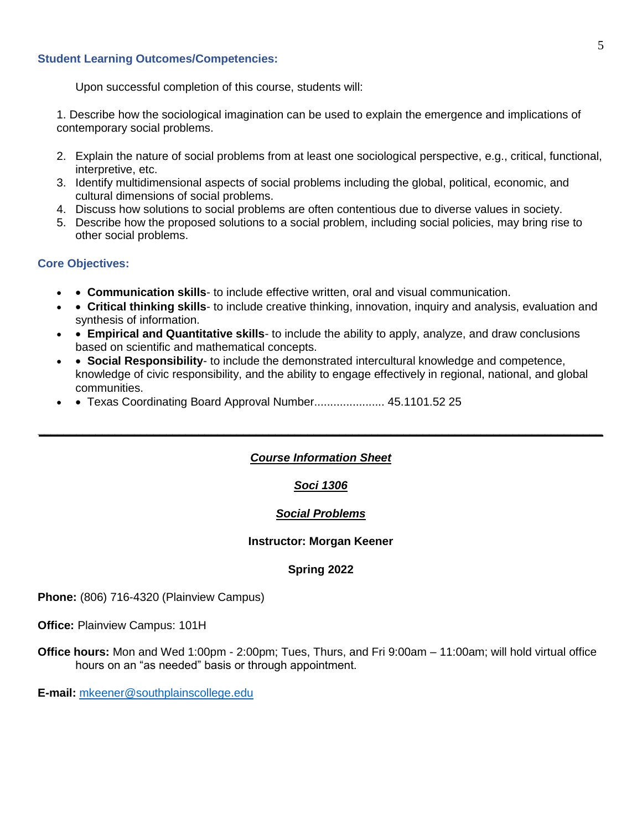#### **Student Learning Outcomes/Competencies:**

Upon successful completion of this course, students will:

1. Describe how the sociological imagination can be used to explain the emergence and implications of contemporary social problems.

- 2. Explain the nature of social problems from at least one sociological perspective, e.g., critical, functional, interpretive, etc.
- 3. Identify multidimensional aspects of social problems including the global, political, economic, and cultural dimensions of social problems.
- 4. Discuss how solutions to social problems are often contentious due to diverse values in society.
- 5. Describe how the proposed solutions to a social problem, including social policies, may bring rise to other social problems.

#### **Core Objectives:**

- • **Communication skills** to include effective written, oral and visual communication.
- • **Critical thinking skills** to include creative thinking, innovation, inquiry and analysis, evaluation and synthesis of information.
- • **Empirical and Quantitative skills** to include the ability to apply, analyze, and draw conclusions based on scientific and mathematical concepts.
- • **Social Responsibility** to include the demonstrated intercultural knowledge and competence, knowledge of civic responsibility, and the ability to engage effectively in regional, national, and global communities.
- Texas Coordinating Board Approval Number..................... 45.1101.52 25

### *Course Information Sheet*

*\_\_\_\_\_\_\_\_\_\_\_\_\_\_\_\_\_\_\_\_\_\_\_\_\_\_\_\_\_\_\_\_\_\_\_\_\_\_\_\_\_\_\_\_\_\_\_\_\_\_\_\_\_\_\_\_\_\_\_\_\_\_\_\_\_\_\_\_\_\_\_\_\_\_\_\_\_\_\_\_\_\_\_\_\_\_\_\_*

### *Soci 1306*

### *Social Problems*

#### **Instructor: Morgan Keener**

### **Spring 2022**

**Phone:** (806) 716-4320 (Plainview Campus)

**Office:** Plainview Campus: 101H

**Office hours:** Mon and Wed 1:00pm - 2:00pm; Tues, Thurs, and Fri 9:00am – 11:00am; will hold virtual office hours on an "as needed" basis or through appointment.

**E-mail:** [mkeener@southplainscollege.edu](mailto:mkeener@southplainscollege.edu)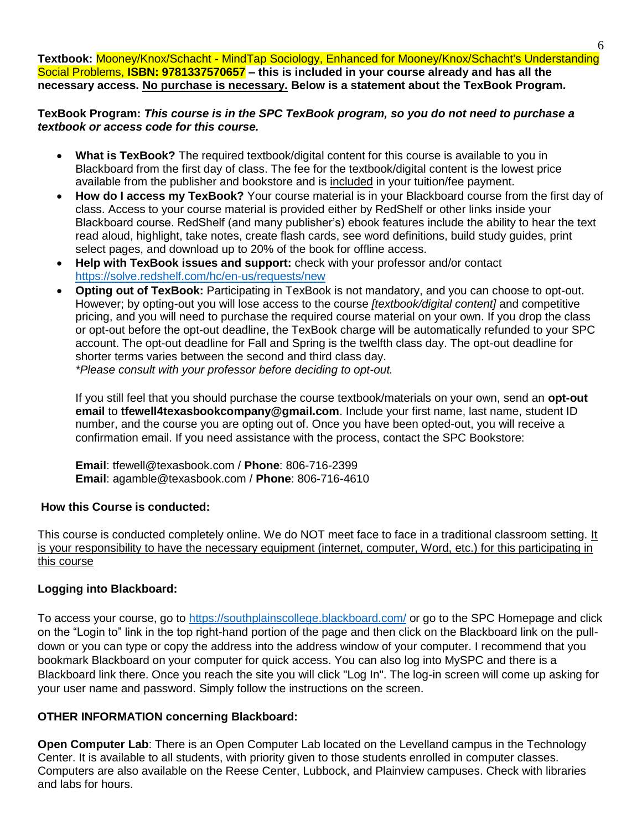**Textbook:** Mooney/Knox/Schacht - MindTap Sociology, Enhanced for Mooney/Knox/Schacht's Understanding Social Problems, **ISBN: 9781337570657 – this is included in your course already and has all the necessary access. No purchase is necessary. Below is a statement about the TexBook Program.**

**TexBook Program:** *This course is in the SPC TexBook program, so you do not need to purchase a textbook or access code for this course.*

- **What is TexBook?** The required textbook/digital content for this course is available to you in Blackboard from the first day of class. The fee for the textbook/digital content is the lowest price available from the publisher and bookstore and is included in your tuition/fee payment.
- **How do I access my TexBook?** Your course material is in your Blackboard course from the first day of class. Access to your course material is provided either by RedShelf or other links inside your Blackboard course. RedShelf (and many publisher's) ebook features include the ability to hear the text read aloud, highlight, take notes, create flash cards, see word definitions, build study guides, print select pages, and download up to 20% of the book for offline access.
- **Help with TexBook issues and support:** check with your professor and/or contact <https://solve.redshelf.com/hc/en-us/requests/new>
- **Opting out of TexBook:** Participating in TexBook is not mandatory, and you can choose to opt-out. However; by opting-out you will lose access to the course *[textbook/digital content]* and competitive pricing, and you will need to purchase the required course material on your own. If you drop the class or opt-out before the opt-out deadline, the TexBook charge will be automatically refunded to your SPC account. The opt-out deadline for Fall and Spring is the twelfth class day. The opt-out deadline for shorter terms varies between the second and third class day. *\*Please consult with your professor before deciding to opt-out.*

If you still feel that you should purchase the course textbook/materials on your own, send an **opt-out email** to **tfewell4texasbookcompany@gmail.com**. Include your first name, last name, student ID number, and the course you are opting out of. Once you have been opted-out, you will receive a confirmation email. If you need assistance with the process, contact the SPC Bookstore:

**Email**: tfewell@texasbook.com / **Phone**: 806-716-2399 **Email**: agamble@texasbook.com / **Phone**: 806-716-4610

### **How this Course is conducted:**

This course is conducted completely online. We do NOT meet face to face in a traditional classroom setting. It is your responsibility to have the necessary equipment (internet, computer, Word, etc.) for this participating in this course

# **Logging into Blackboard:**

To access your course, go to<https://southplainscollege.blackboard.com/> or go to the SPC Homepage and click on the "Login to" link in the top right-hand portion of the page and then click on the Blackboard link on the pulldown or you can type or copy the address into the address window of your computer. I recommend that you bookmark Blackboard on your computer for quick access. You can also log into MySPC and there is a Blackboard link there. Once you reach the site you will click "Log In". The log-in screen will come up asking for your user name and password. Simply follow the instructions on the screen.

# **OTHER INFORMATION concerning Blackboard:**

**Open Computer Lab**: There is an Open Computer Lab located on the Levelland campus in the Technology Center. It is available to all students, with priority given to those students enrolled in computer classes. Computers are also available on the Reese Center, Lubbock, and Plainview campuses. Check with libraries and labs for hours.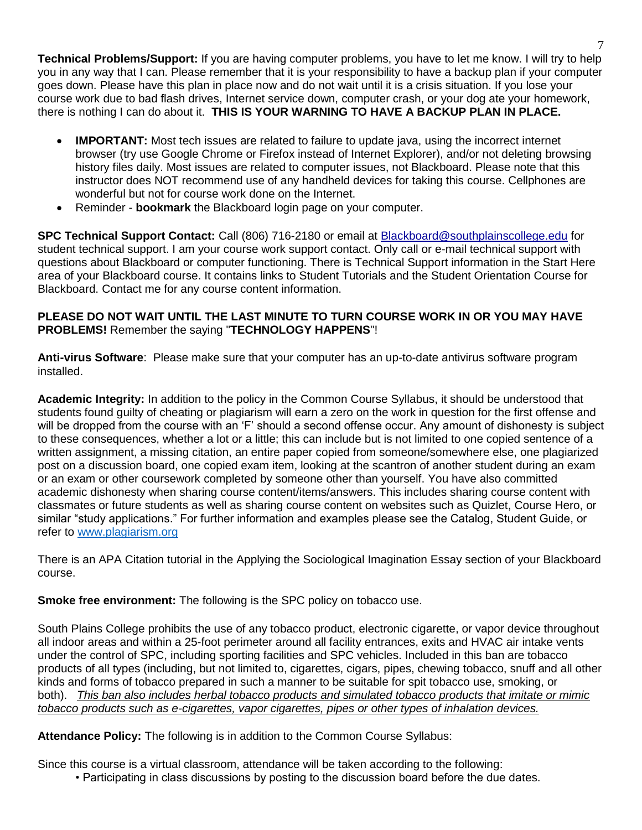**Technical Problems/Support:** If you are having computer problems, you have to let me know. I will try to help you in any way that I can. Please remember that it is your responsibility to have a backup plan if your computer goes down. Please have this plan in place now and do not wait until it is a crisis situation. If you lose your course work due to bad flash drives, Internet service down, computer crash, or your dog ate your homework, there is nothing I can do about it. **THIS IS YOUR WARNING TO HAVE A BACKUP PLAN IN PLACE.** 

- **IMPORTANT:** Most tech issues are related to failure to update java, using the incorrect internet browser (try use Google Chrome or Firefox instead of Internet Explorer), and/or not deleting browsing history files daily. Most issues are related to computer issues, not Blackboard. Please note that this instructor does NOT recommend use of any handheld devices for taking this course. Cellphones are wonderful but not for course work done on the Internet.
- Reminder **bookmark** the Blackboard login page on your computer.

**SPC Technical Support Contact:** Call (806) 716-2180 or email at [Blackboard@southplainscollege.edu](mailto:webct@southplainscollege.edu) for student technical support. I am your course work support contact. Only call or e-mail technical support with questions about Blackboard or computer functioning. There is Technical Support information in the Start Here area of your Blackboard course. It contains links to Student Tutorials and the Student Orientation Course for Blackboard. Contact me for any course content information.

## **PLEASE DO NOT WAIT UNTIL THE LAST MINUTE TO TURN COURSE WORK IN OR YOU MAY HAVE PROBLEMS!** Remember the saying "**TECHNOLOGY HAPPENS**"!

**Anti-virus Software**: Please make sure that your computer has an up-to-date antivirus software program installed.

**Academic Integrity:** In addition to the policy in the Common Course Syllabus, it should be understood that students found guilty of cheating or plagiarism will earn a zero on the work in question for the first offense and will be dropped from the course with an 'F' should a second offense occur. Any amount of dishonesty is subject to these consequences, whether a lot or a little; this can include but is not limited to one copied sentence of a written assignment, a missing citation, an entire paper copied from someone/somewhere else, one plagiarized post on a discussion board, one copied exam item, looking at the scantron of another student during an exam or an exam or other coursework completed by someone other than yourself. You have also committed academic dishonesty when sharing course content/items/answers. This includes sharing course content with classmates or future students as well as sharing course content on websites such as Quizlet, Course Hero, or similar "study applications." For further information and examples please see the Catalog, Student Guide, or refer to [www.plagiarism.org](http://www.plagiarism.org/)

There is an APA Citation tutorial in the Applying the Sociological Imagination Essay section of your Blackboard course.

**Smoke free environment:** The following is the SPC policy on tobacco use.

South Plains College prohibits the use of any tobacco product, electronic cigarette, or vapor device throughout all indoor areas and within a 25-foot perimeter around all facility entrances, exits and HVAC air intake vents under the control of SPC, including sporting facilities and SPC vehicles. Included in this ban are tobacco products of all types (including, but not limited to, cigarettes, cigars, pipes, chewing tobacco, snuff and all other kinds and forms of tobacco prepared in such a manner to be suitable for spit tobacco use, smoking, or both). *This ban also includes herbal tobacco products and simulated tobacco products that imitate or mimic tobacco products such as e-cigarettes, vapor cigarettes, pipes or other types of inhalation devices.*

**Attendance Policy:** The following is in addition to the Common Course Syllabus:

Since this course is a virtual classroom, attendance will be taken according to the following:

• Participating in class discussions by posting to the discussion board before the due dates.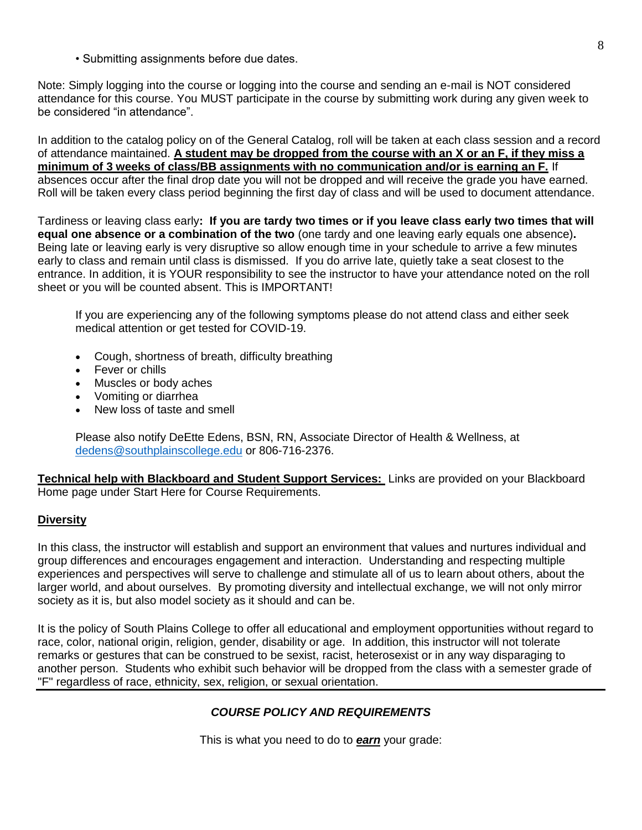• Submitting assignments before due dates.

Note: Simply logging into the course or logging into the course and sending an e-mail is NOT considered attendance for this course. You MUST participate in the course by submitting work during any given week to be considered "in attendance".

In addition to the catalog policy on of the General Catalog, roll will be taken at each class session and a record of attendance maintained. **A student may be dropped from the course with an X or an F, if they miss a minimum of 3 weeks of class/BB assignments with no communication and/or is earning an F.** If absences occur after the final drop date you will not be dropped and will receive the grade you have earned. Roll will be taken every class period beginning the first day of class and will be used to document attendance.

Tardiness or leaving class early**: If you are tardy two times or if you leave class early two times that will equal one absence or a combination of the two** (one tardy and one leaving early equals one absence)**.** Being late or leaving early is very disruptive so allow enough time in your schedule to arrive a few minutes early to class and remain until class is dismissed. If you do arrive late, quietly take a seat closest to the entrance. In addition, it is YOUR responsibility to see the instructor to have your attendance noted on the roll sheet or you will be counted absent. This is IMPORTANT!

If you are experiencing any of the following symptoms please do not attend class and either seek medical attention or get tested for COVID-19.

- Cough, shortness of breath, difficulty breathing
- Fever or chills
- Muscles or body aches
- Vomiting or diarrhea
- New loss of taste and smell

Please also notify DeEtte Edens, BSN, RN, Associate Director of Health & Wellness, at [dedens@southplainscollege.edu](mailto:dedens@southplainscollege.edu) or 806-716-2376.

**Technical help with Blackboard and Student Support Services:** Links are provided on your Blackboard Home page under Start Here for Course Requirements.

#### **Diversity**

In this class, the instructor will establish and support an environment that values and nurtures individual and group differences and encourages engagement and interaction. Understanding and respecting multiple experiences and perspectives will serve to challenge and stimulate all of us to learn about others, about the larger world, and about ourselves. By promoting diversity and intellectual exchange, we will not only mirror society as it is, but also model society as it should and can be.

It is the policy of South Plains College to offer all educational and employment opportunities without regard to race, color, national origin, religion, gender, disability or age. In addition, this instructor will not tolerate remarks or gestures that can be construed to be sexist, racist, heterosexist or in any way disparaging to another person. Students who exhibit such behavior will be dropped from the class with a semester grade of "F" regardless of race, ethnicity, sex, religion, or sexual orientation.

### *COURSE POLICY AND REQUIREMENTS*

This is what you need to do to *earn* your grade: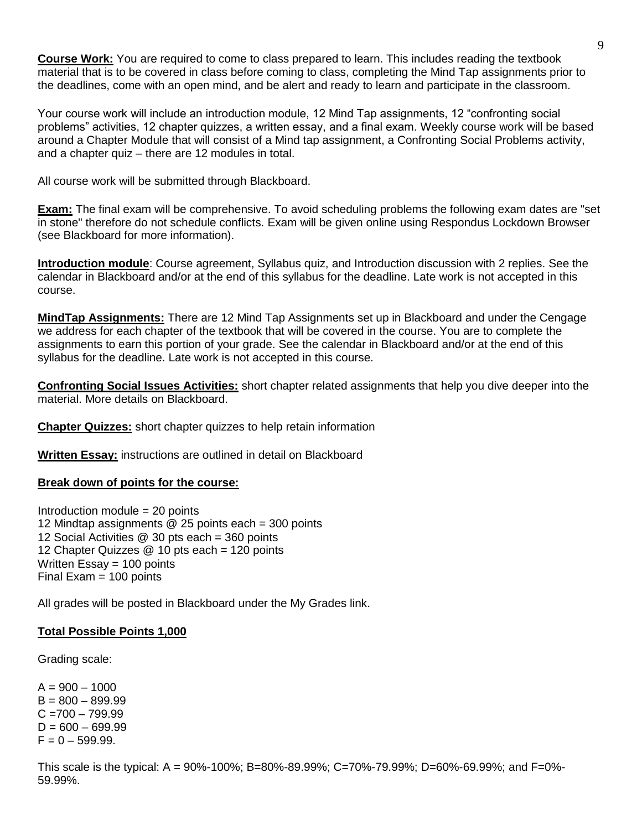**Course Work:** You are required to come to class prepared to learn. This includes reading the textbook material that is to be covered in class before coming to class, completing the Mind Tap assignments prior to the deadlines, come with an open mind, and be alert and ready to learn and participate in the classroom.

Your course work will include an introduction module, 12 Mind Tap assignments, 12 "confronting social problems" activities, 12 chapter quizzes, a written essay, and a final exam. Weekly course work will be based around a Chapter Module that will consist of a Mind tap assignment, a Confronting Social Problems activity, and a chapter quiz – there are 12 modules in total.

All course work will be submitted through Blackboard.

**Exam:** The final exam will be comprehensive. To avoid scheduling problems the following exam dates are "set in stone" therefore do not schedule conflicts. Exam will be given online using Respondus Lockdown Browser (see Blackboard for more information).

**Introduction module**: Course agreement, Syllabus quiz, and Introduction discussion with 2 replies. See the calendar in Blackboard and/or at the end of this syllabus for the deadline. Late work is not accepted in this course.

**MindTap Assignments:** There are 12 Mind Tap Assignments set up in Blackboard and under the Cengage we address for each chapter of the textbook that will be covered in the course. You are to complete the assignments to earn this portion of your grade. See the calendar in Blackboard and/or at the end of this syllabus for the deadline. Late work is not accepted in this course.

**Confronting Social Issues Activities:** short chapter related assignments that help you dive deeper into the material. More details on Blackboard.

**Chapter Quizzes:** short chapter quizzes to help retain information

**Written Essay:** instructions are outlined in detail on Blackboard

#### **Break down of points for the course:**

Introduction module = 20 points 12 Mindtap assignments @ 25 points each = 300 points 12 Social Activities @ 30 pts each = 360 points 12 Chapter Quizzes @ 10 pts each = 120 points Written  $Essav = 100$  points Final Exam = 100 points

All grades will be posted in Blackboard under the My Grades link.

#### **Total Possible Points 1,000**

Grading scale:

 $A = 900 - 1000$  $B = 800 - 899.99$  $C = 700 - 799.99$  $D = 600 - 699.99$  $F = 0 - 599.99$ .

This scale is the typical: A = 90%-100%; B=80%-89.99%; C=70%-79.99%; D=60%-69.99%; and F=0%- 59.99%.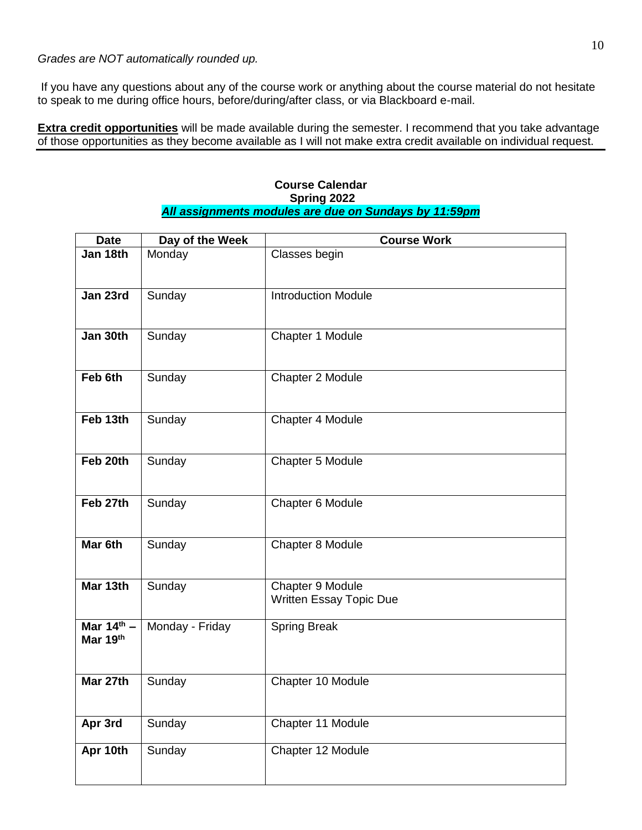If you have any questions about any of the course work or anything about the course material do not hesitate to speak to me during office hours, before/during/after class, or via Blackboard e-mail.

**Extra credit opportunities** will be made available during the semester. I recommend that you take advantage of those opportunities as they become available as I will not make extra credit available on individual request.

| <b>Course Calendar</b>                                |
|-------------------------------------------------------|
| Spring 2022                                           |
| All assignments modules are due on Sundays by 11:59pm |

| <b>Date</b>        | Day of the Week | <b>Course Work</b>             |
|--------------------|-----------------|--------------------------------|
| Jan 18th           | Monday          | Classes begin                  |
|                    |                 |                                |
| Jan 23rd           | Sunday          | <b>Introduction Module</b>     |
|                    |                 |                                |
| Jan 30th           | Sunday          | Chapter 1 Module               |
|                    |                 |                                |
| Feb 6th            | Sunday          | Chapter 2 Module               |
|                    |                 |                                |
| Feb 13th           | Sunday          | Chapter 4 Module               |
|                    |                 |                                |
| Feb 20th           | Sunday          | Chapter 5 Module               |
|                    |                 |                                |
| Feb 27th           | Sunday          | Chapter 6 Module               |
|                    |                 |                                |
| Mar <sub>6th</sub> | Sunday          | Chapter 8 Module               |
|                    |                 |                                |
| Mar 13th           | Sunday          | Chapter 9 Module               |
|                    |                 | <b>Written Essay Topic Due</b> |
| Mar $14th$ –       | Monday - Friday | <b>Spring Break</b>            |
| Mar 19th           |                 |                                |
|                    |                 |                                |
| Mar 27th           | Sunday          | Chapter 10 Module              |
|                    |                 |                                |
| Apr 3rd            | Sunday          | Chapter 11 Module              |
| Apr 10th           | Sunday          | Chapter 12 Module              |
|                    |                 |                                |